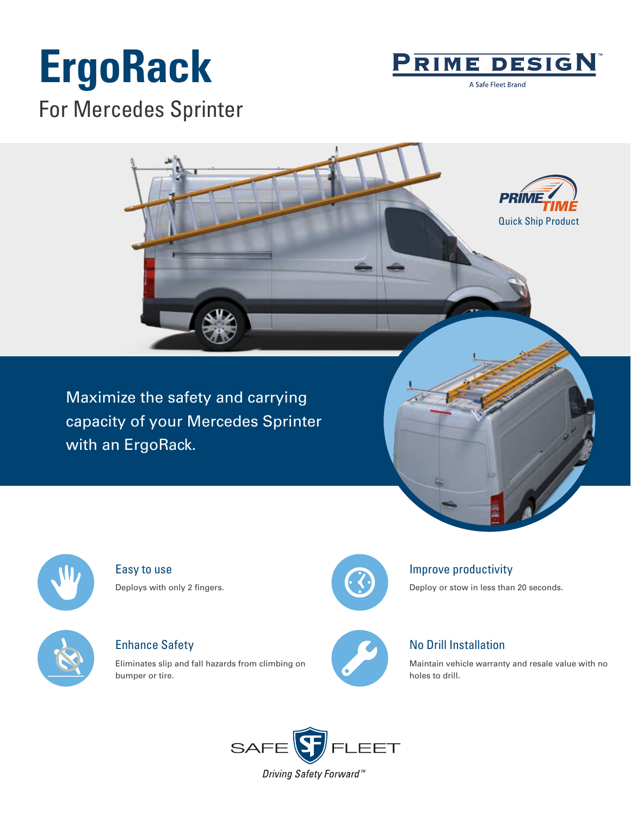# **ErgoRack**



A Safe Fleet Brand

For Mercedes Sprinter



Maximize the safety and carrying capacity of your Mercedes Sprinter with an ErgoRack.



Easy to use Deploys with only 2 fingers.



Enhance Safety

Eliminates slip and fall hazards from climbing on bumper or tire.



### Improve productivity

Deploy or stow in less than 20 seconds.



## No Drill Installation

Maintain vehicle warranty and resale value with no holes to drill.